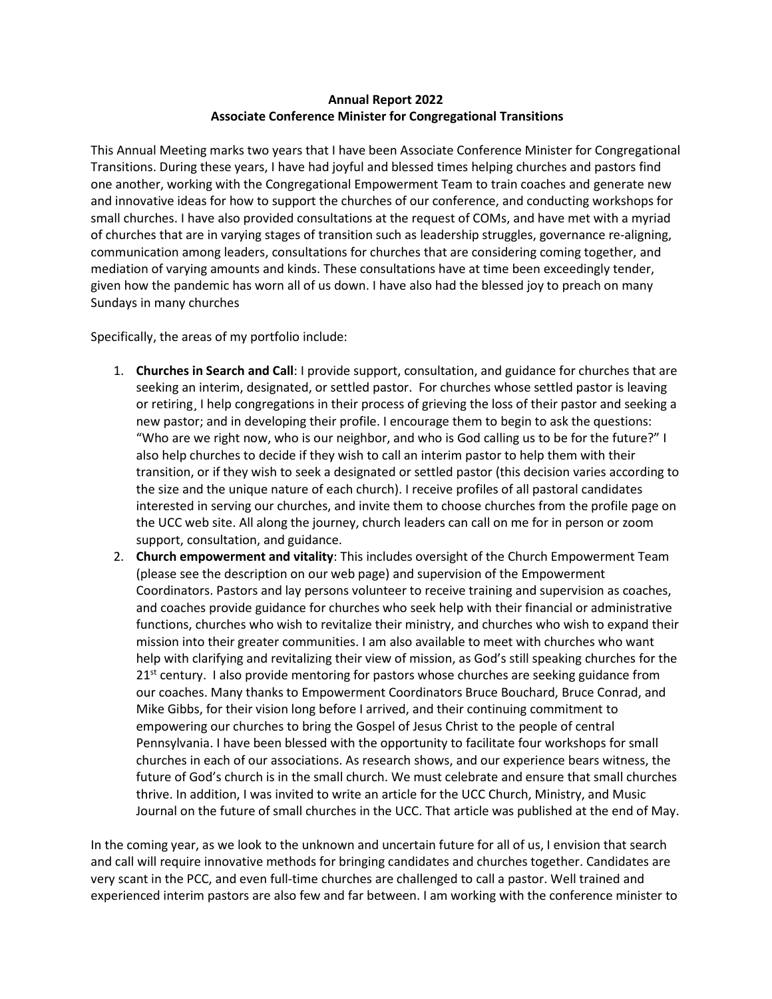## **Annual Report 2022 Associate Conference Minister for Congregational Transitions**

This Annual Meeting marks two years that I have been Associate Conference Minister for Congregational Transitions. During these years, I have had joyful and blessed times helping churches and pastors find one another, working with the Congregational Empowerment Team to train coaches and generate new and innovative ideas for how to support the churches of our conference, and conducting workshops for small churches. I have also provided consultations at the request of COMs, and have met with a myriad of churches that are in varying stages of transition such as leadership struggles, governance re-aligning, communication among leaders, consultations for churches that are considering coming together, and mediation of varying amounts and kinds. These consultations have at time been exceedingly tender, given how the pandemic has worn all of us down. I have also had the blessed joy to preach on many Sundays in many churches

Specifically, the areas of my portfolio include:

- 1. **Churches in Search and Call**: I provide support, consultation, and guidance for churches that are seeking an interim, designated, or settled pastor. For churches whose settled pastor is leaving or retiring¸ I help congregations in their process of grieving the loss of their pastor and seeking a new pastor; and in developing their profile. I encourage them to begin to ask the questions: "Who are we right now, who is our neighbor, and who is God calling us to be for the future?" I also help churches to decide if they wish to call an interim pastor to help them with their transition, or if they wish to seek a designated or settled pastor (this decision varies according to the size and the unique nature of each church). I receive profiles of all pastoral candidates interested in serving our churches, and invite them to choose churches from the profile page on the UCC web site. All along the journey, church leaders can call on me for in person or zoom support, consultation, and guidance.
- 2. **Church empowerment and vitality**: This includes oversight of the Church Empowerment Team (please see the description on our web page) and supervision of the Empowerment Coordinators. Pastors and lay persons volunteer to receive training and supervision as coaches, and coaches provide guidance for churches who seek help with their financial or administrative functions, churches who wish to revitalize their ministry, and churches who wish to expand their mission into their greater communities. I am also available to meet with churches who want help with clarifying and revitalizing their view of mission, as God's still speaking churches for the  $21<sup>st</sup>$  century. I also provide mentoring for pastors whose churches are seeking guidance from our coaches. Many thanks to Empowerment Coordinators Bruce Bouchard, Bruce Conrad, and Mike Gibbs, for their vision long before I arrived, and their continuing commitment to empowering our churches to bring the Gospel of Jesus Christ to the people of central Pennsylvania. I have been blessed with the opportunity to facilitate four workshops for small churches in each of our associations. As research shows, and our experience bears witness, the future of God's church is in the small church. We must celebrate and ensure that small churches thrive. In addition, I was invited to write an article for the UCC Church, Ministry, and Music Journal on the future of small churches in the UCC. That article was published at the end of May.

In the coming year, as we look to the unknown and uncertain future for all of us, I envision that search and call will require innovative methods for bringing candidates and churches together. Candidates are very scant in the PCC, and even full-time churches are challenged to call a pastor. Well trained and experienced interim pastors are also few and far between. I am working with the conference minister to